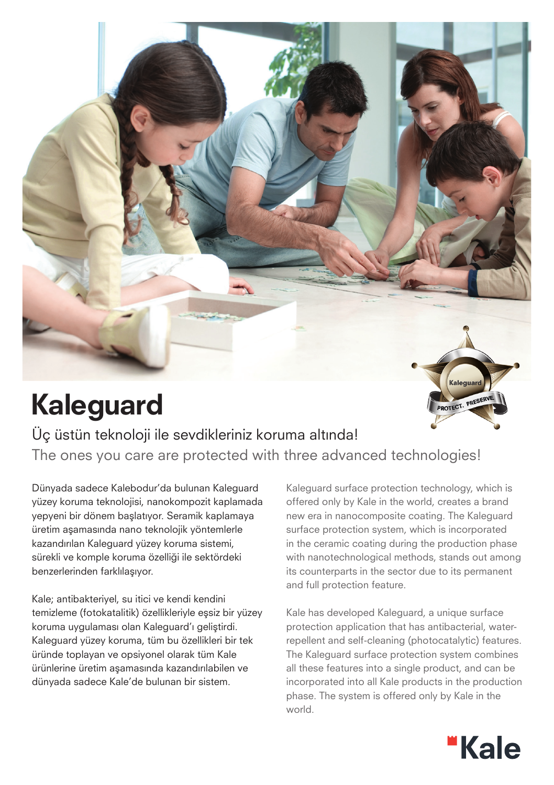

# Kaleguard

Üç üstün teknoloji ile sevdikleriniz koruma altında! The ones you care are protected with three advanced technologies!

Dünyada sadece Kalebodur'da bulunan Kaleguard yüzey koruma teknolojisi, nanokompozit kaplamada yepyeni bir dönem başlatıyor. Seramik kaplamaya üretim aşamasında nano teknolojik yöntemlerle kazandırılan Kaleguard yüzey koruma sistemi, sürekli ve komple koruma özelliği ile sektördeki benzerlerinden farklılaşıyor.

Kale; antibakteriyel, su itici ve kendi kendini temizleme (fotokatalitik) özellikleriyle eşsiz bir yüzey koruma uygulaması olan Kaleguard'ı geliştirdi. Kaleguard yüzey koruma, tüm bu özellikleri bir tek üründe toplayan ve opsiyonel olarak tüm Kale ürünlerine üretim aşamasında kazandırılabilen ve dünyada sadece Kale'de bulunan bir sistem.

Kaleguard surface protection technology, which is offered only by Kale in the world, creates a brand new era in nanocomposite coating. The Kaleguard surface protection system, which is incorporated in the ceramic coating during the production phase with nanotechnological methods, stands out among its counterparts in the sector due to its permanent and full protection feature.

Kale has developed Kaleguard, a unique surface protection application that has antibacterial, waterrepellent and self-cleaning (photocatalytic) features. The Kaleguard surface protection system combines all these features into a single product, and can be incorporated into all Kale products in the production phase. The system is offered only by Kale in the world.

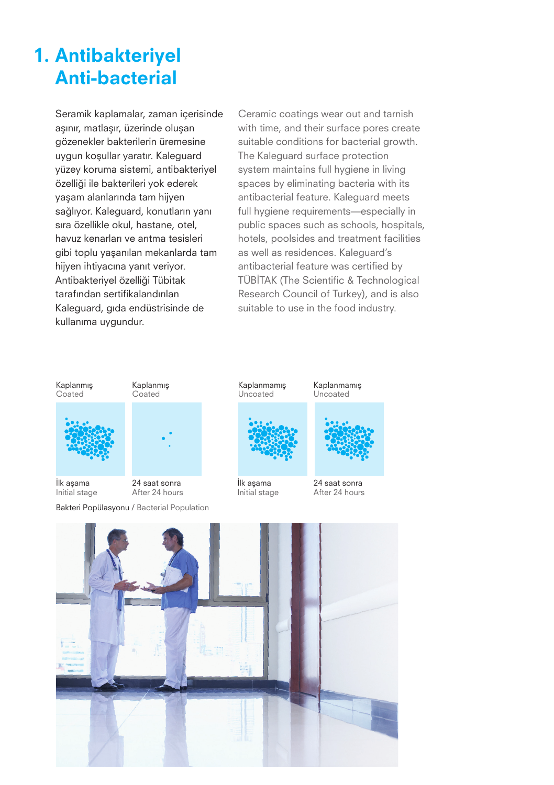### 1. Antibakteriyel Anti-bacterial

Seramik kaplamalar, zaman içerisinde aşınır, matlaşır, üzerinde oluşan gözenekler bakterilerin üremesine uygun koşullar yaratır. Kaleguard yüzey koruma sistemi, antibakteriyel özelliği ile bakterileri yok ederek yaşam alanlarında tam hijyen sağlıyor. Kaleguard, konutların yanı sıra özellikle okul, hastane, otel, havuz kenarları ve arıtma tesisleri gibi toplu yaşanılan mekanlarda tam hijyen ihtiyacına yanıt veriyor. Antibakteriyel özelliği Tübitak tarafından sertifikalandırılan Kaleguard, gıda endüstrisinde de kullanıma uygundur.

Ceramic coatings wear out and tarnish with time, and their surface pores create suitable conditions for bacterial growth. The Kaleguard surface protection system maintains full hygiene in living spaces by eliminating bacteria with its antibacterial feature. Kaleguard meets full hygiene requirements—especially in public spaces such as schools, hospitals, hotels, poolsides and treatment facilities as well as residences. Kaleguard's antibacterial feature was certified by TÜBİTAK (The Scientific & Technological Research Council of Turkey), and is also suitable to use in the food industry.

Kaplanmış **Coated** 



İlk aşama Initial stage



Kaplanmış

24 saat sonra After 24 hours

Bakteri Popülasyonu / Bacterial Population

Kaplanmamış Uncoated

İlk aşama Initial stage



Kaplanmamış

24 saat sonra After 24 hours

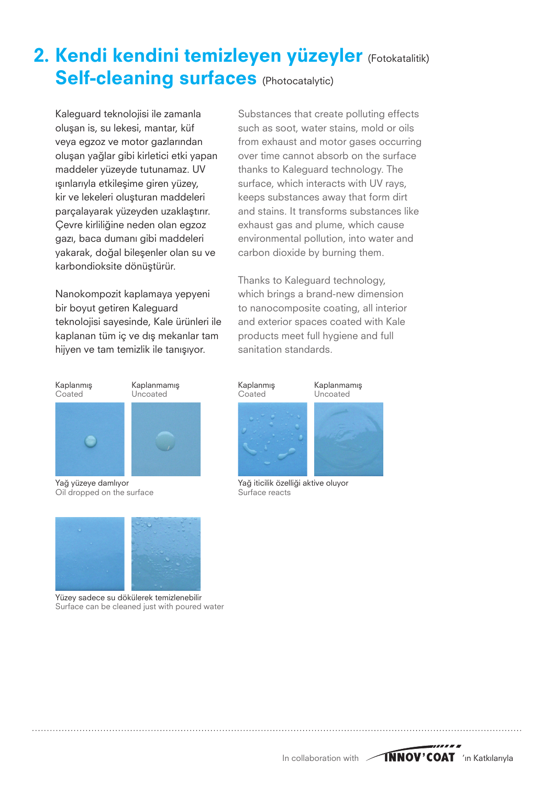### 2. Kendi kendini temizleyen yüzeyler (Fotokatalitik) Self-cleaning surfaces (Photocatalytic)

Kaleguard teknolojisi ile zamanla oluşan is, su lekesi, mantar, küf veya egzoz ve motor gazlarından oluşan yağlar gibi kirletici etki yapan maddeler yüzeyde tutunamaz. UV ışınlarıyla etkileşime giren yüzey, kir ve lekeleri oluşturan maddeleri parçalayarak yüzeyden uzaklaştırır. Çevre kirliliğine neden olan egzoz gazı, baca dumanı gibi maddeleri yakarak, doğal bileşenler olan su ve karbondioksite dönüştürür.

Nanokompozit kaplamaya yepyeni bir boyut getiren Kaleguard teknolojisi sayesinde, Kale ürünleri ile kaplanan tüm iç ve dış mekanlar tam hijyen ve tam temizlik ile tanışıyor.

Kaplanmış Coated

Kaplanmamış Uncoated



Yağ yüzeye damlıyor Oil dropped on the surface



Yüzey sadece su dökülerek temizlenebilir Surface can be cleaned just with poured water

Substances that create polluting effects such as soot, water stains, mold or oils from exhaust and motor gases occurring over time cannot absorb on the surface thanks to Kaleguard technology. The surface, which interacts with UV rays, keeps substances away that form dirt and stains. It transforms substances like exhaust gas and plume, which cause environmental pollution, into water and carbon dioxide by burning them.

Thanks to Kaleguard technology, which brings a brand-new dimension to nanocomposite coating, all interior and exterior spaces coated with Kale products meet full hygiene and full sanitation standards.

#### Kaplanmış **Coated**

Kaplanmamış Uncoated



Yağ iticilik özelliği aktive oluyor Surface reacts

In collaboration with **INNOV'COAT** 'ın Katkılarıyla